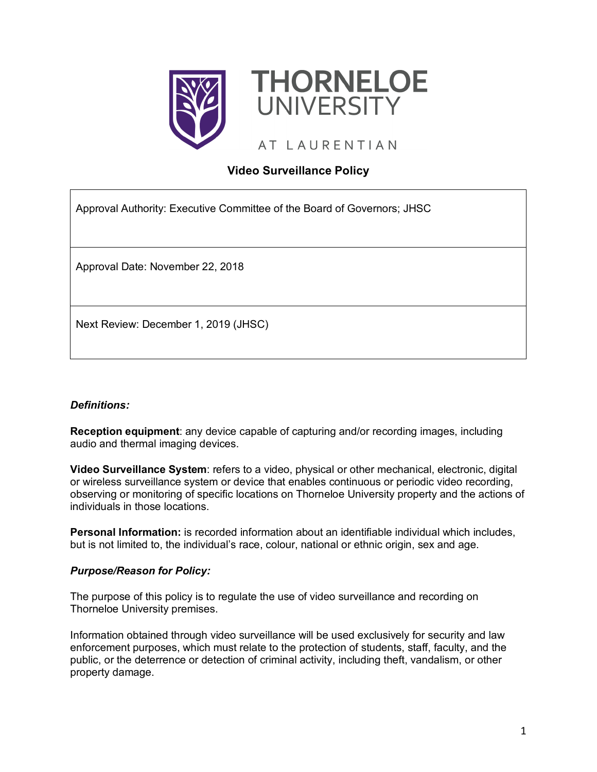



AT LAURENTIAN

# **Video Surveillance Policy**

Approval Authority: Executive Committee of the Board of Governors; JHSC

Approval Date: November 22, 2018

Next Review: December 1, 2019 (JHSC)

## *Definitions:*

**Reception equipment**: any device capable of capturing and/or recording images, including audio and thermal imaging devices.

**Video Surveillance System**: refers to a video, physical or other mechanical, electronic, digital or wireless surveillance system or device that enables continuous or periodic video recording, observing or monitoring of specific locations on Thorneloe University property and the actions of individuals in those locations.

**Personal Information:** is recorded information about an identifiable individual which includes, but is not limited to, the individual's race, colour, national or ethnic origin, sex and age.

## *Purpose/Reason for Policy:*

The purpose of this policy is to regulate the use of video surveillance and recording on Thorneloe University premises.

Information obtained through video surveillance will be used exclusively for security and law enforcement purposes, which must relate to the protection of students, staff, faculty, and the public, or the deterrence or detection of criminal activity, including theft, vandalism, or other property damage.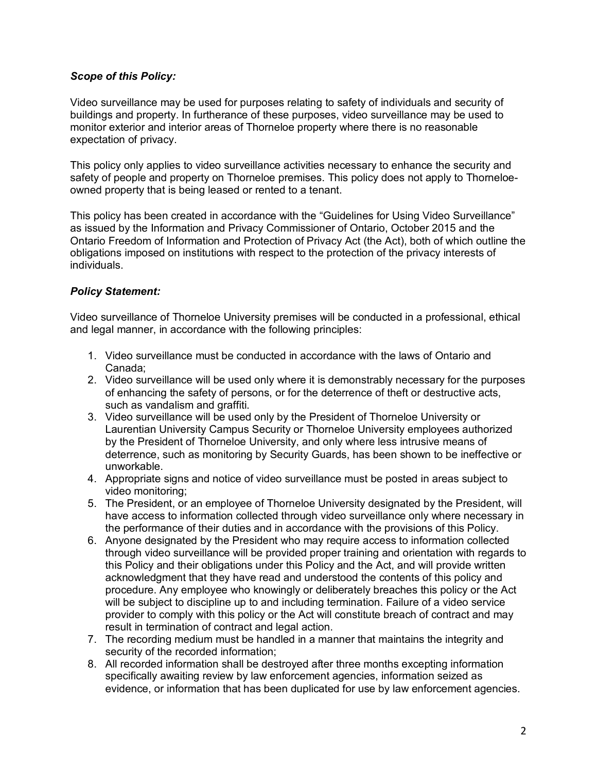### *Scope of this Policy:*

Video surveillance may be used for purposes relating to safety of individuals and security of buildings and property. In furtherance of these purposes, video surveillance may be used to monitor exterior and interior areas of Thorneloe property where there is no reasonable expectation of privacy.

This policy only applies to video surveillance activities necessary to enhance the security and safety of people and property on Thorneloe premises. This policy does not apply to Thorneloeowned property that is being leased or rented to a tenant.

This policy has been created in accordance with the "Guidelines for Using Video Surveillance" as issued by the Information and Privacy Commissioner of Ontario, October 2015 and the Ontario Freedom of Information and Protection of Privacy Act (the Act), both of which outline the obligations imposed on institutions with respect to the protection of the privacy interests of individuals.

### *Policy Statement:*

Video surveillance of Thorneloe University premises will be conducted in a professional, ethical and legal manner, in accordance with the following principles:

- 1. Video surveillance must be conducted in accordance with the laws of Ontario and Canada;
- 2. Video surveillance will be used only where it is demonstrably necessary for the purposes of enhancing the safety of persons, or for the deterrence of theft or destructive acts, such as vandalism and graffiti.
- 3. Video surveillance will be used only by the President of Thorneloe University or Laurentian University Campus Security or Thorneloe University employees authorized by the President of Thorneloe University, and only where less intrusive means of deterrence, such as monitoring by Security Guards, has been shown to be ineffective or unworkable.
- 4. Appropriate signs and notice of video surveillance must be posted in areas subject to video monitoring;
- 5. The President, or an employee of Thorneloe University designated by the President, will have access to information collected through video surveillance only where necessary in the performance of their duties and in accordance with the provisions of this Policy.
- 6. Anyone designated by the President who may require access to information collected through video surveillance will be provided proper training and orientation with regards to this Policy and their obligations under this Policy and the Act, and will provide written acknowledgment that they have read and understood the contents of this policy and procedure. Any employee who knowingly or deliberately breaches this policy or the Act will be subject to discipline up to and including termination. Failure of a video service provider to comply with this policy or the Act will constitute breach of contract and may result in termination of contract and legal action.
- 7. The recording medium must be handled in a manner that maintains the integrity and security of the recorded information;
- 8. All recorded information shall be destroyed after three months excepting information specifically awaiting review by law enforcement agencies, information seized as evidence, or information that has been duplicated for use by law enforcement agencies.